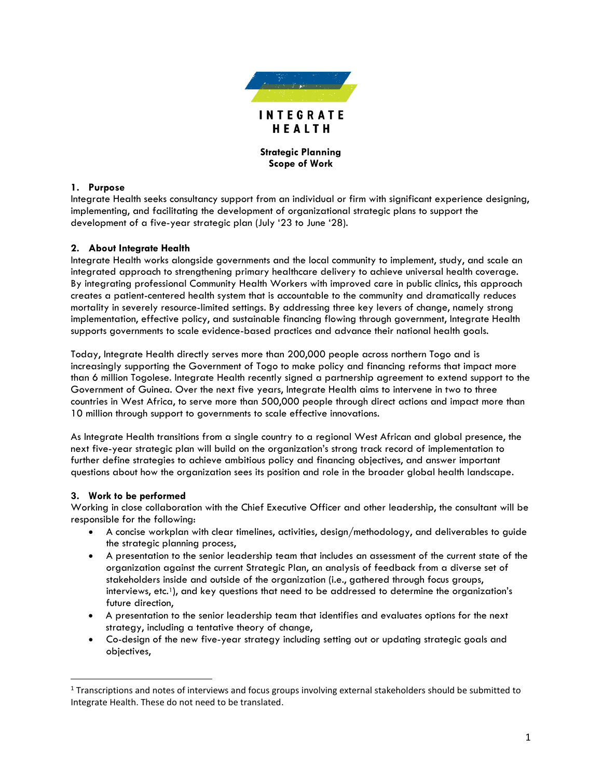

## **Strategic Planning Scope of Work**

### **1. Purpose**

Integrate Health seeks consultancy support from an individual or firm with significant experience designing, implementing, and facilitating the development of organizational strategic plans to support the development of a five-year strategic plan (July '23 to June '28).

## **2. About Integrate Health**

Integrate Health works alongside governments and the local community to implement, study, and scale an integrated approach to strengthening primary healthcare delivery to achieve universal health coverage. By integrating professional Community Health Workers with improved care in public clinics, this approach creates a patient-centered health system that is accountable to the community and dramatically reduces mortality in severely resource-limited settings. By addressing three key levers of change, namely strong implementation, effective policy, and sustainable financing flowing through government, Integrate Health supports governments to scale evidence-based practices and advance their national health goals.

Today, Integrate Health directly serves more than 200,000 people across northern Togo and is increasingly supporting the Government of Togo to make policy and financing reforms that impact more than 6 million Togolese. Integrate Health recently signed a partnership agreement to extend support to the Government of Guinea. Over the next five years, Integrate Health aims to intervene in two to three countries in West Africa, to serve more than 500,000 people through direct actions and impact more than 10 million through support to governments to scale effective innovations.

As Integrate Health transitions from a single country to a regional West African and global presence, the next five-year strategic plan will build on the organization's strong track record of implementation to further define strategies to achieve ambitious policy and financing objectives, and answer important questions about how the organization sees its position and role in the broader global health landscape.

### **3. Work to be performed**

Working in close collaboration with the Chief Executive Officer and other leadership, the consultant will be responsible for the following:

- A concise workplan with clear timelines, activities, design/methodology, and deliverables to guide the strategic planning process,
- A presentation to the senior leadership team that includes an assessment of the current state of the organization against the current Strategic Plan, an analysis of feedback from a diverse set of stakeholders inside and outside of the organization (i.e., gathered through focus groups, interviews, etc.<sup>1</sup>), and key questions that need to be addressed to determine the organization's future direction,
- A presentation to the senior leadership team that identifies and evaluates options for the next strategy, including a tentative theory of change,
- Co-design of the new five-year strategy including setting out or updating strategic goals and objectives,

 $1$  Transcriptions and notes of interviews and focus groups involving external stakeholders should be submitted to Integrate Health. These do not need to be translated.